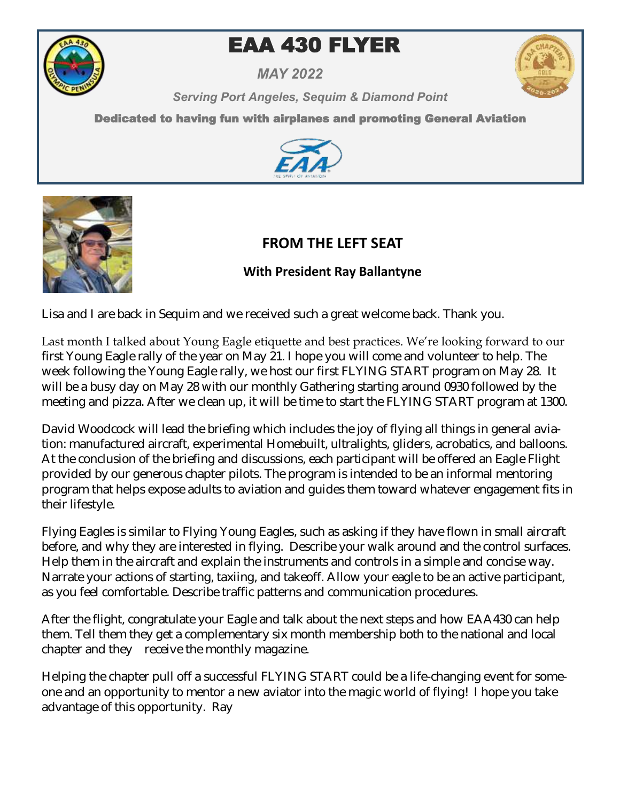

# **EAA 430 FLYER**

*MAY 2022*



*Serving Port Angeles, Sequim & Diamond Point* 

Dedicated to having fun with airplanes and promoting General Aviation





# **FROM THE LEFT SEAT**

# **With President Ray Ballantyne**

Lisa and I are back in Sequim and we received such a great welcome back. Thank you.

Last month I talked about Young Eagle etiquette and best practices. We're looking forward to our first Young Eagle rally of the year on May 21. I hope you will come and volunteer to help. The week following the Young Eagle rally, we host our first FLYING START program on May 28. It will be a busy day on May 28 with our monthly Gathering starting around 0930 followed by the meeting and pizza. After we clean up, it will be time to start the FLYING START program at 1300.

David Woodcock will lead the briefing which includes the joy of flying all things in general aviation: manufactured aircraft, experimental Homebuilt, ultralights, gliders, acrobatics, and balloons. At the conclusion of the briefing and discussions, each participant will be offered an Eagle Flight provided by our generous chapter pilots. The program is intended to be an informal mentoring program that helps expose adults to aviation and guides them toward whatever engagement fits in their lifestyle.

Flying Eagles is similar to Flying Young Eagles, such as asking if they have flown in small aircraft before, and why they are interested in flying. Describe your walk around and the control surfaces. Help them in the aircraft and explain the instruments and controls in a simple and concise way. Narrate your actions of starting, taxiing, and takeoff. Allow your eagle to be an active participant, as you feel comfortable. Describe traffic patterns and communication procedures.

After the flight, congratulate your Eagle and talk about the next steps and how EAA430 can help them. Tell them they get a complementary six month membership both to the national and local chapter and they receive the monthly magazine.

Helping the chapter pull off a successful FLYING START could be a life-changing event for someone and an opportunity to mentor a new aviator into the magic world of flying! I hope you take advantage of this opportunity. Ray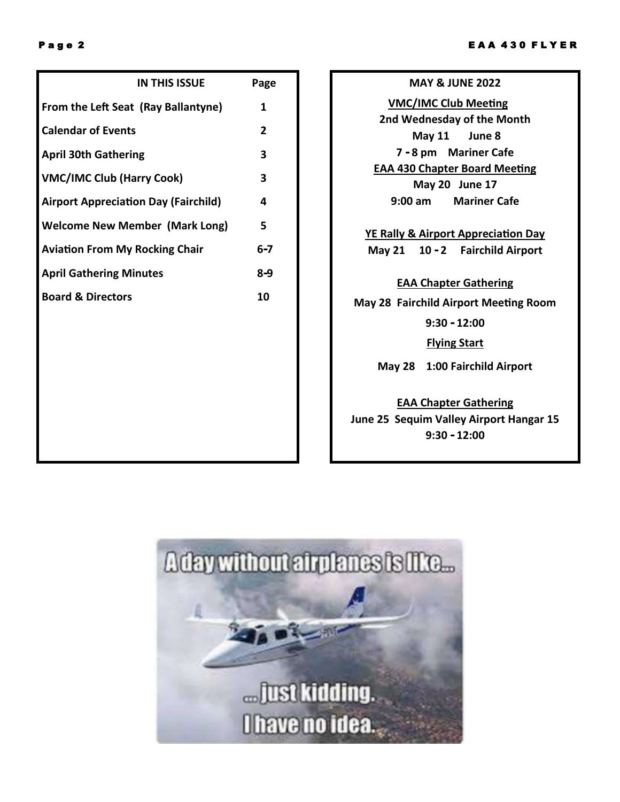| <b>IN THIS ISSUE</b>                        | Page         |
|---------------------------------------------|--------------|
| From the Left Seat (Ray Ballantyne)         | 1            |
| <b>Calendar of Events</b>                   | $\mathbf{2}$ |
| <b>April 30th Gathering</b>                 | 3            |
| <b>VMC/IMC Club (Harry Cook)</b>            | 3            |
| <b>Airport Appreciation Day (Fairchild)</b> | 4            |
| <b>Welcome New Member (Mark Long)</b>       | 5            |
| <b>Aviation From My Rocking Chair</b>       | $6 - 7$      |
| <b>April Gathering Minutes</b>              | 8-9          |
| <b>Board &amp; Directors</b>                | 10           |
|                                             |              |
|                                             |              |
|                                             |              |
|                                             |              |

**MAY & JUNE 2022 VMC/IMC Club Meeting 2nd Wednesday of the Month May 11 June 8 7 - 8 pm Mariner Cafe EAA 430 Chapter Board Meeting May 20 June 17 9:00 am Mariner Cafe** 

**YE Rally & Airport Appreciation Day May 21 10 - 2 Fairchild Airport**

#### **EAA Chapter Gathering**

**May 28 Fairchild Airport Meeting Room 9:30 - 12:00** 

**Flying Start**

**May 28 1:00 Fairchild Airport**

### **EAA Chapter Gathering**

**June 25 Sequim Valley Airport Hangar 15 9:30 - 12:00** 

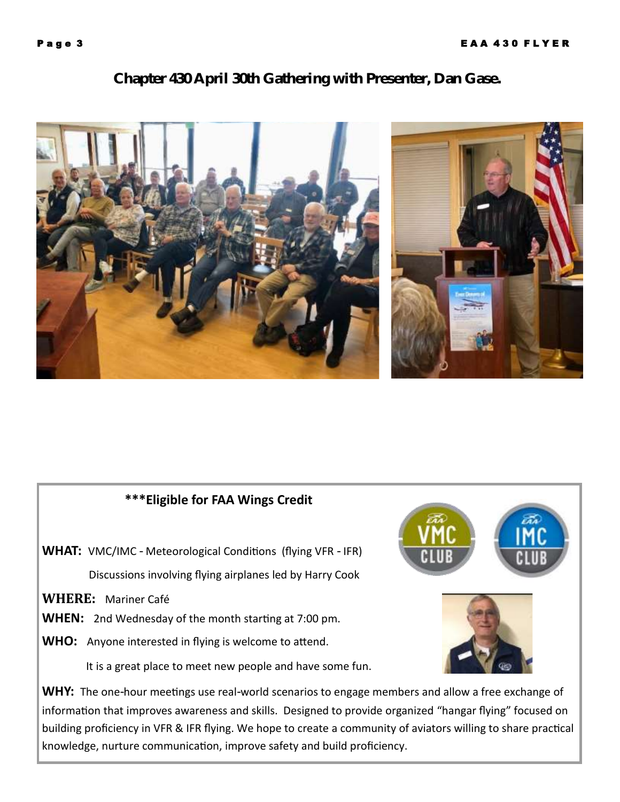## **Chapter 430 April 30th Gathering with Presenter, Dan Gase.**



# **\*\*\*Eligible for FAA Wings Credit**

**WHAT:** VMC/IMC - Meteorological Conditions (flying VFR - IFR) Discussions involving flying airplanes led by Harry Cook

**WHERE:** Mariner Café

**WHEN:** 2nd Wednesday of the month starting at 7:00 pm.

**WHO:** Anyone interested in flying is welcome to attend.

It is a great place to meet new people and have some fun.

WHY: The one-hour meetings use real-world scenarios to engage members and allow a free exchange of information that improves awareness and skills. Designed to provide organized "hangar flying" focused on building proficiency in VFR & IFR flying. We hope to create a community of aviators willing to share practical knowledge, nurture communication, improve safety and build proficiency.

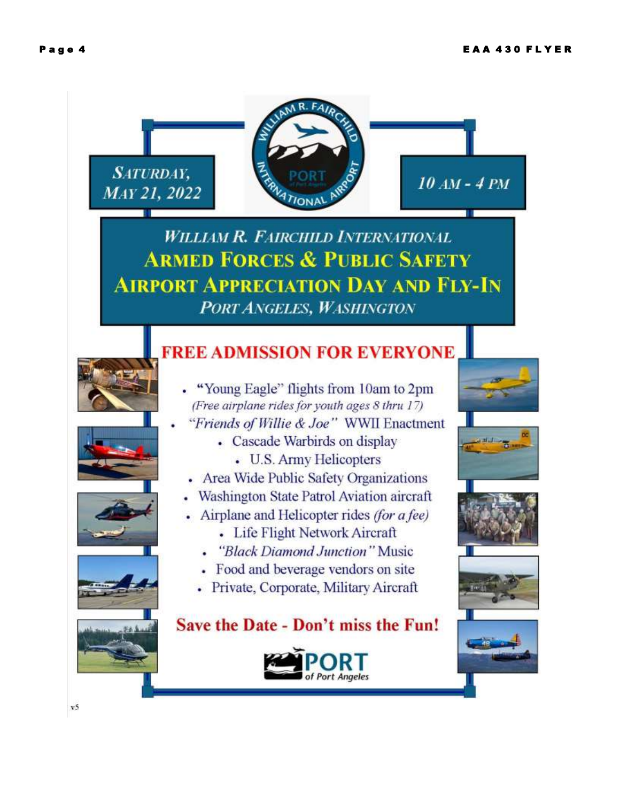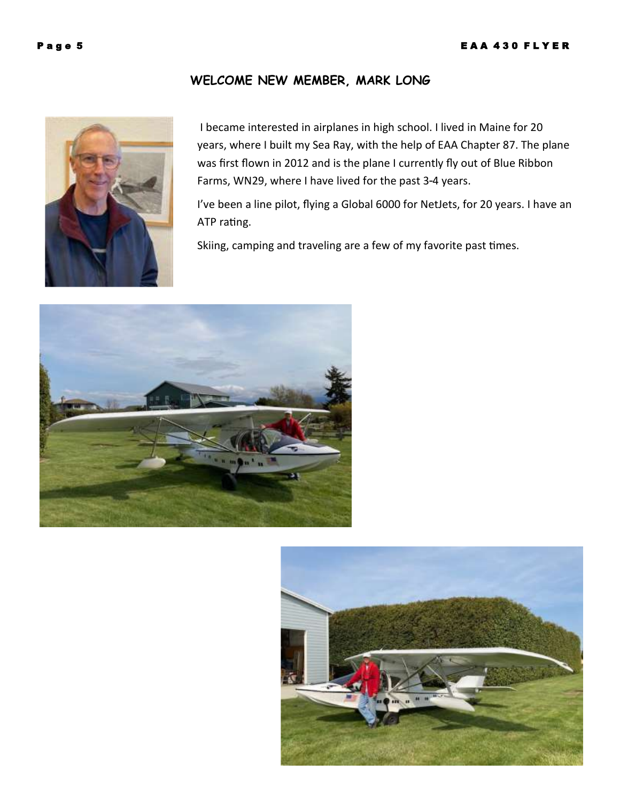#### **WELCOME NEW MEMBER, MARK LONG**



I became interested in airplanes in high school. I lived in Maine for 20 years, where I built my Sea Ray, with the help of EAA Chapter 87. The plane was first flown in 2012 and is the plane I currently fly out of Blue Ribbon Farms, WN29, where I have lived for the past 3-4 years.

I've been a line pilot, flying a Global 6000 for NetJets, for 20 years. I have an ATP rating.

Skiing, camping and traveling are a few of my favorite past times.



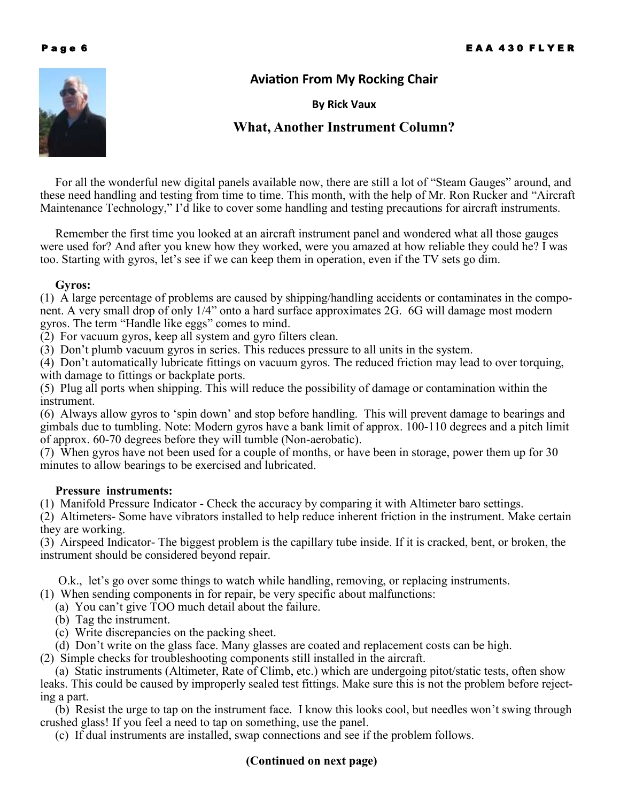

#### **Aviation From My Rocking Chair**

#### **By Rick Vaux**

### **What, Another Instrument Column?**

 For all the wonderful new digital panels available now, there are still a lot of "Steam Gauges" around, and these need handling and testing from time to time. This month, with the help of Mr. Ron Rucker and "Aircraft Maintenance Technology," I'd like to cover some handling and testing precautions for aircraft instruments.

 Remember the first time you looked at an aircraft instrument panel and wondered what all those gauges were used for? And after you knew how they worked, were you amazed at how reliable they could he? I was too. Starting with gyros, let's see if we can keep them in operation, even if the TV sets go dim.

#### **Gyros:**

(1) A large percentage of problems are caused by shipping/handling accidents or contaminates in the component. A very small drop of only 1/4" onto a hard surface approximates 2G. 6G will damage most modern gyros. The term "Handle like eggs" comes to mind.

(2) For vacuum gyros, keep all system and gyro filters clean.

(3) Don't plumb vacuum gyros in series. This reduces pressure to all units in the system.

(4) Don't automatically lubricate fittings on vacuum gyros. The reduced friction may lead to over torquing, with damage to fittings or backplate ports.

(5) Plug all ports when shipping. This will reduce the possibility of damage or contamination within the instrument.

(6) Always allow gyros to 'spin down' and stop before handling. This will prevent damage to bearings and gimbals due to tumbling. Note: Modern gyros have a bank limit of approx. 100-110 degrees and a pitch limit of approx. 60-70 degrees before they will tumble (Non-aerobatic).

(7) When gyros have not been used for a couple of months, or have been in storage, power them up for 30 minutes to allow bearings to be exercised and lubricated.

#### **Pressure instruments:**

(1) Manifold Pressure Indicator - Check the accuracy by comparing it with Altimeter baro settings.

(2) Altimeters- Some have vibrators installed to help reduce inherent friction in the instrument. Make certain they are working.

(3) Airspeed Indicator- The biggest problem is the capillary tube inside. If it is cracked, bent, or broken, the instrument should be considered beyond repair.

O.k., let's go over some things to watch while handling, removing, or replacing instruments.

(1) When sending components in for repair, be very specific about malfunctions:

- (a) You can't give TOO much detail about the failure.
- (b) Tag the instrument.
- (c) Write discrepancies on the packing sheet.
- (d) Don't write on the glass face. Many glasses are coated and replacement costs can be high.

(2) Simple checks for troubleshooting components still installed in the aircraft.

 (a) Static instruments (Altimeter, Rate of Climb, etc.) which are undergoing pitot/static tests, often show leaks. This could be caused by improperly sealed test fittings. Make sure this is not the problem before rejecting a part.

 (b) Resist the urge to tap on the instrument face. I know this looks cool, but needles won't swing through crushed glass! If you feel a need to tap on something, use the panel.

(c) If dual instruments are installed, swap connections and see if the problem follows.

#### **(Continued on next page)**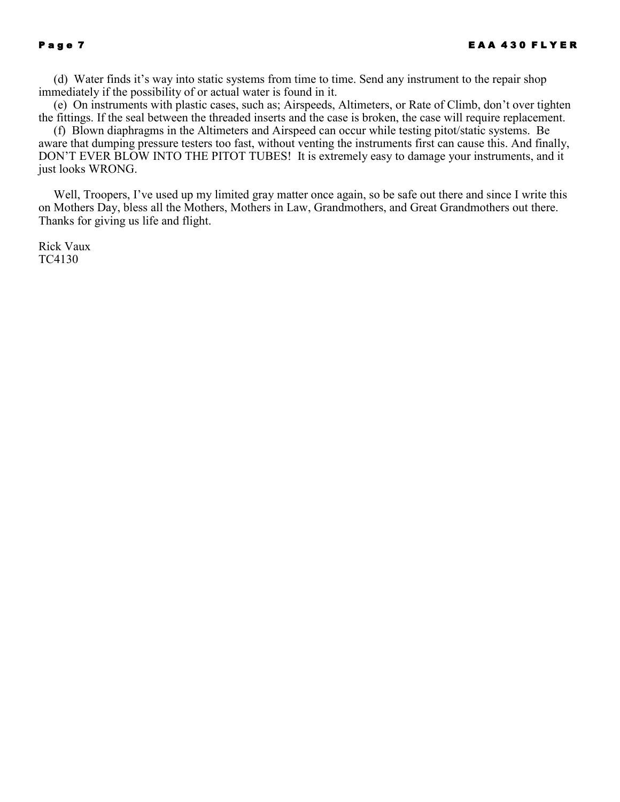(d) Water finds it's way into static systems from time to time. Send any instrument to the repair shop immediately if the possibility of or actual water is found in it.

 (e) On instruments with plastic cases, such as; Airspeeds, Altimeters, or Rate of Climb, don't over tighten the fittings. If the seal between the threaded inserts and the case is broken, the case will require replacement.

 (f) Blown diaphragms in the Altimeters and Airspeed can occur while testing pitot/static systems. Be aware that dumping pressure testers too fast, without venting the instruments first can cause this. And finally, DON'T EVER BLOW INTO THE PITOT TUBES! It is extremely easy to damage your instruments, and it just looks WRONG.

 Well, Troopers, I've used up my limited gray matter once again, so be safe out there and since I write this on Mothers Day, bless all the Mothers, Mothers in Law, Grandmothers, and Great Grandmothers out there. Thanks for giving us life and flight.

Rick Vaux TC4130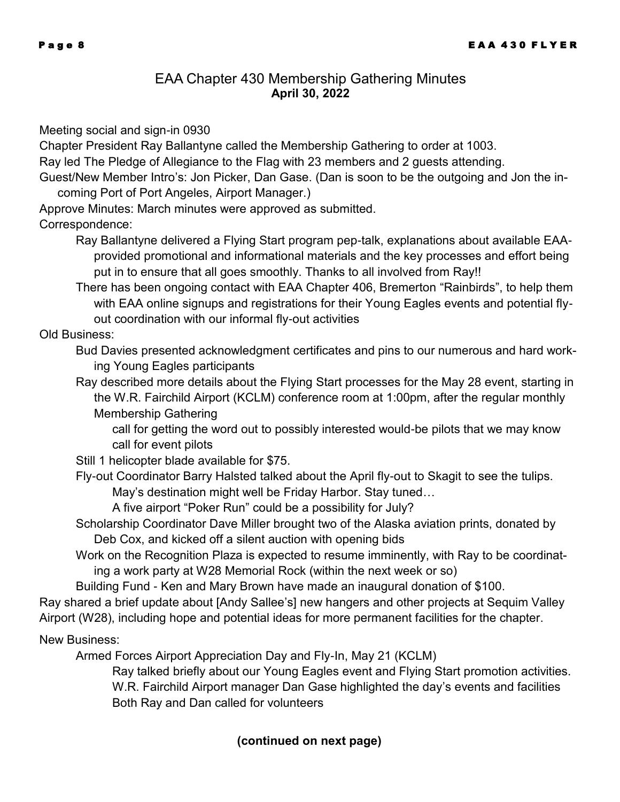#### EAA Chapter 430 Membership Gathering Minutes **April 30, 2022**

Meeting social and sign-in 0930

Chapter President Ray Ballantyne called the Membership Gathering to order at 1003. Ray led The Pledge of Allegiance to the Flag with 23 members and 2 guests attending.

Guest/New Member Intro's: Jon Picker, Dan Gase. (Dan is soon to be the outgoing and Jon the in-

coming Port of Port Angeles, Airport Manager.)

Approve Minutes: March minutes were approved as submitted.

Correspondence:

Ray Ballantyne delivered a Flying Start program pep-talk, explanations about available EAAprovided promotional and informational materials and the key processes and effort being put in to ensure that all goes smoothly. Thanks to all involved from Ray!!

There has been ongoing contact with EAA Chapter 406, Bremerton "Rainbirds", to help them with EAA online signups and registrations for their Young Eagles events and potential flyout coordination with our informal fly-out activities

Old Business:

Bud Davies presented acknowledgment certificates and pins to our numerous and hard working Young Eagles participants

Ray described more details about the Flying Start processes for the May 28 event, starting in the W.R. Fairchild Airport (KCLM) conference room at 1:00pm, after the regular monthly Membership Gathering

call for getting the word out to possibly interested would-be pilots that we may know call for event pilots

- Still 1 helicopter blade available for \$75.
- Fly-out Coordinator Barry Halsted talked about the April fly-out to Skagit to see the tulips. May's destination might well be Friday Harbor. Stay tuned…

A five airport "Poker Run" could be a possibility for July?

Scholarship Coordinator Dave Miller brought two of the Alaska aviation prints, donated by Deb Cox, and kicked off a silent auction with opening bids

Work on the Recognition Plaza is expected to resume imminently, with Ray to be coordinating a work party at W28 Memorial Rock (within the next week or so)

Building Fund - Ken and Mary Brown have made an inaugural donation of \$100.

Ray shared a brief update about [Andy Sallee's] new hangers and other projects at Sequim Valley Airport (W28), including hope and potential ideas for more permanent facilities for the chapter.

New Business:

Armed Forces Airport Appreciation Day and Fly-In, May 21 (KCLM)

Ray talked briefly about our Young Eagles event and Flying Start promotion activities. W.R. Fairchild Airport manager Dan Gase highlighted the day's events and facilities Both Ray and Dan called for volunteers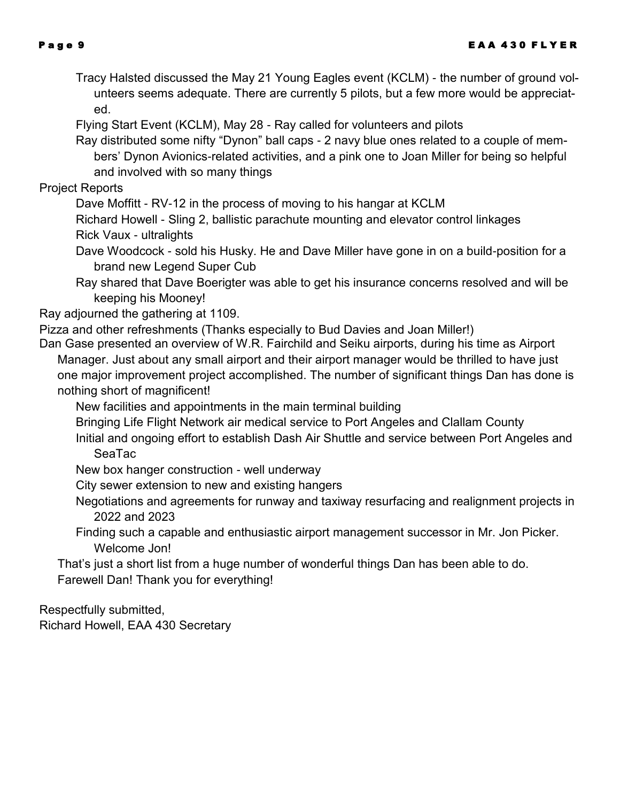- Tracy Halsted discussed the May 21 Young Eagles event (KCLM) the number of ground volunteers seems adequate. There are currently 5 pilots, but a few more would be appreciated.
- Flying Start Event (KCLM), May 28 Ray called for volunteers and pilots
- Ray distributed some nifty "Dynon" ball caps 2 navy blue ones related to a couple of members' Dynon Avionics-related activities, and a pink one to Joan Miller for being so helpful and involved with so many things

Project Reports

- Dave Moffitt RV-12 in the process of moving to his hangar at KCLM
- Richard Howell Sling 2, ballistic parachute mounting and elevator control linkages Rick Vaux - ultralights
- Dave Woodcock sold his Husky. He and Dave Miller have gone in on a build-position for a brand new Legend Super Cub
- Ray shared that Dave Boerigter was able to get his insurance concerns resolved and will be keeping his Mooney!

Ray adjourned the gathering at 1109.

- Pizza and other refreshments (Thanks especially to Bud Davies and Joan Miller!)
- Dan Gase presented an overview of W.R. Fairchild and Seiku airports, during his time as Airport Manager. Just about any small airport and their airport manager would be thrilled to have just one major improvement project accomplished. The number of significant things Dan has done is nothing short of magnificent!
	- New facilities and appointments in the main terminal building
	- Bringing Life Flight Network air medical service to Port Angeles and Clallam County
	- Initial and ongoing effort to establish Dash Air Shuttle and service between Port Angeles and SeaTac
	- New box hanger construction well underway
	- City sewer extension to new and existing hangers
	- Negotiations and agreements for runway and taxiway resurfacing and realignment projects in 2022 and 2023
	- Finding such a capable and enthusiastic airport management successor in Mr. Jon Picker. Welcome Jon!
	- That's just a short list from a huge number of wonderful things Dan has been able to do. Farewell Dan! Thank you for everything!

Respectfully submitted,

Richard Howell, EAA 430 Secretary